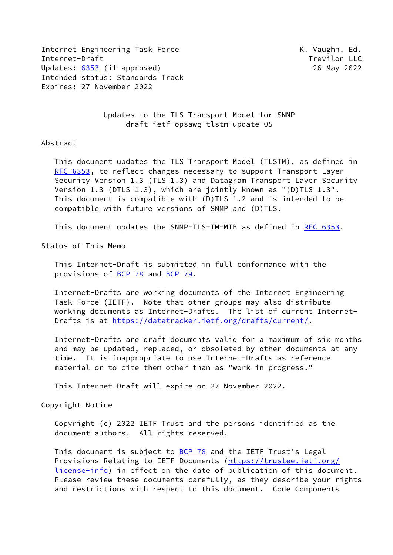Internet Engineering Task Force The Controller Controller Manuscus K. Vaughn, Ed. Internet-Draft Trevilon LLC Updates: [6353](https://datatracker.ietf.org/doc/pdf/rfc6353) (if approved) 26 May 2022 Intended status: Standards Track Expires: 27 November 2022

 Updates to the TLS Transport Model for SNMP draft-ietf-opsawg-tlstm-update-05

#### Abstract

 This document updates the TLS Transport Model (TLSTM), as defined in [RFC 6353](https://datatracker.ietf.org/doc/pdf/rfc6353), to reflect changes necessary to support Transport Layer Security Version 1.3 (TLS 1.3) and Datagram Transport Layer Security Version 1.3 (DTLS 1.3), which are jointly known as "(D)TLS 1.3". This document is compatible with (D)TLS 1.2 and is intended to be compatible with future versions of SNMP and (D)TLS.

This document updates the SNMP-TLS-TM-MIB as defined in [RFC 6353](https://datatracker.ietf.org/doc/pdf/rfc6353).

Status of This Memo

 This Internet-Draft is submitted in full conformance with the provisions of [BCP 78](https://datatracker.ietf.org/doc/pdf/bcp78) and [BCP 79](https://datatracker.ietf.org/doc/pdf/bcp79).

 Internet-Drafts are working documents of the Internet Engineering Task Force (IETF). Note that other groups may also distribute working documents as Internet-Drafts. The list of current Internet- Drafts is at<https://datatracker.ietf.org/drafts/current/>.

 Internet-Drafts are draft documents valid for a maximum of six months and may be updated, replaced, or obsoleted by other documents at any time. It is inappropriate to use Internet-Drafts as reference material or to cite them other than as "work in progress."

This Internet-Draft will expire on 27 November 2022.

Copyright Notice

 Copyright (c) 2022 IETF Trust and the persons identified as the document authors. All rights reserved.

This document is subject to **[BCP 78](https://datatracker.ietf.org/doc/pdf/bcp78)** and the IETF Trust's Legal Provisions Relating to IETF Documents ([https://trustee.ietf.org/](https://trustee.ietf.org/license-info) [license-info](https://trustee.ietf.org/license-info)) in effect on the date of publication of this document. Please review these documents carefully, as they describe your rights and restrictions with respect to this document. Code Components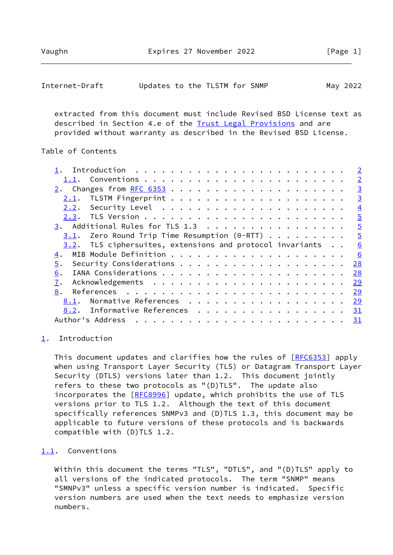<span id="page-1-1"></span>

| Internet-Draft |  |  | Updates to the TLSTM for SNMP |  |  | May 2022 |
|----------------|--|--|-------------------------------|--|--|----------|
|----------------|--|--|-------------------------------|--|--|----------|

 extracted from this document must include Revised BSD License text as described in Section 4.e of the [Trust Legal Provisions](https://trustee.ietf.org/license-info) and are provided without warranty as described in the Revised BSD License.

# Table of Contents

|                                                           | $\overline{2}$ |
|-----------------------------------------------------------|----------------|
|                                                           | $\overline{2}$ |
|                                                           | $\overline{3}$ |
| 2.1.                                                      | $\overline{3}$ |
| 2.2.                                                      | $\overline{4}$ |
|                                                           | $\overline{5}$ |
| 3. Additional Rules for TLS 1.3                           | $\overline{5}$ |
| 3.1. Zero Round Trip Time Resumption $(0-RTT)$            | $\frac{5}{2}$  |
| 3.2. TLS ciphersuites, extensions and protocol invariants | 6              |
| 4.                                                        | 6              |
| 5.                                                        | 28             |
| 6.                                                        | 28             |
| 7.                                                        | 29             |
| 8.                                                        | 29             |
| Normative References<br>8.1.                              | <u>29</u>      |
| Informative References 31<br>8.2.                         |                |
| Author's Address                                          | $\frac{31}{2}$ |
|                                                           |                |

# <span id="page-1-0"></span>[1](#page-1-0). Introduction

This document updates and clarifies how the rules of [\[RFC6353](https://datatracker.ietf.org/doc/pdf/rfc6353)] apply when using Transport Layer Security (TLS) or Datagram Transport Layer Security (DTLS) versions later than 1.2. This document jointly refers to these two protocols as "(D)TLS". The update also incorporates the [\[RFC8996](https://datatracker.ietf.org/doc/pdf/rfc8996)] update, which prohibits the use of TLS versions prior to TLS 1.2. Although the text of this document specifically references SNMPv3 and (D)TLS 1.3, this document may be applicable to future versions of these protocols and is backwards compatible with (D)TLS 1.2.

#### <span id="page-1-2"></span>[1.1](#page-1-2). Conventions

 Within this document the terms "TLS", "DTLS", and "(D)TLS" apply to all versions of the indicated protocols. The term "SNMP" means "SMNPv3" unless a specific version number is indicated. Specific version numbers are used when the text needs to emphasize version numbers.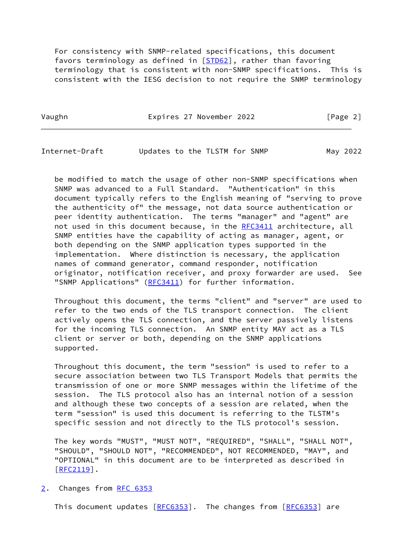For consistency with SNMP-related specifications, this document favors terminology as defined in [\[STD62\]](#page-33-0), rather than favoring terminology that is consistent with non-SNMP specifications. This is consistent with the IESG decision to not require the SNMP terminology

Vaughn **Expires 27 November 2022** [Page 2]

<span id="page-2-1"></span>Internet-Draft Updates to the TLSTM for SNMP May 2022

 be modified to match the usage of other non-SNMP specifications when SNMP was advanced to a Full Standard. "Authentication" in this document typically refers to the English meaning of "serving to prove the authenticity of" the message, not data source authentication or peer identity authentication. The terms "manager" and "agent" are not used in this document because, in the [RFC3411](https://datatracker.ietf.org/doc/pdf/rfc3411) architecture, all SNMP entities have the capability of acting as manager, agent, or both depending on the SNMP application types supported in the implementation. Where distinction is necessary, the application names of command generator, command responder, notification originator, notification receiver, and proxy forwarder are used. See "SNMP Applications" [\(RFC3411](https://datatracker.ietf.org/doc/pdf/rfc3411)) for further information.

 Throughout this document, the terms "client" and "server" are used to refer to the two ends of the TLS transport connection. The client actively opens the TLS connection, and the server passively listens for the incoming TLS connection. An SNMP entity MAY act as a TLS client or server or both, depending on the SNMP applications supported.

 Throughout this document, the term "session" is used to refer to a secure association between two TLS Transport Models that permits the transmission of one or more SNMP messages within the lifetime of the session. The TLS protocol also has an internal notion of a session and although these two concepts of a session are related, when the term "session" is used this document is referring to the TLSTM's specific session and not directly to the TLS protocol's session.

 The key words "MUST", "MUST NOT", "REQUIRED", "SHALL", "SHALL NOT", "SHOULD", "SHOULD NOT", "RECOMMENDED", NOT RECOMMENDED, "MAY", and "OPTIONAL" in this document are to be interpreted as described in [\[RFC2119](https://datatracker.ietf.org/doc/pdf/rfc2119)].

# <span id="page-2-0"></span>[2](#page-2-0). Changes from [RFC 6353](https://datatracker.ietf.org/doc/pdf/rfc6353)

This document updates [[RFC6353](https://datatracker.ietf.org/doc/pdf/rfc6353)]. The changes from [[RFC6353\]](https://datatracker.ietf.org/doc/pdf/rfc6353) are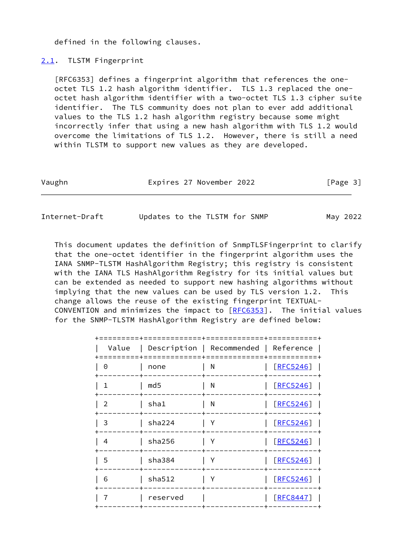defined in the following clauses.

## <span id="page-3-0"></span>[2.1](#page-3-0). TLSTM Fingerprint

 [RFC6353] defines a fingerprint algorithm that references the one octet TLS 1.2 hash algorithm identifier. TLS 1.3 replaced the one octet hash algorithm identifier with a two-octet TLS 1.3 cipher suite identifier. The TLS community does not plan to ever add additional values to the TLS 1.2 hash algorithm registry because some might incorrectly infer that using a new hash algorithm with TLS 1.2 would overcome the limitations of TLS 1.2. However, there is still a need within TLSTM to support new values as they are developed.

| Vaughn | Expires 27 November 2022 | [Page 3] |
|--------|--------------------------|----------|
|        |                          |          |

<span id="page-3-1"></span>Internet-Draft Updates to the TLSTM for SNMP May 2022

 This document updates the definition of SnmpTLSFingerprint to clarify that the one-octet identifier in the fingerprint algorithm uses the IANA SNMP-TLSTM HashAlgorithm Registry; this registry is consistent with the IANA TLS HashAlgorithm Registry for its initial values but can be extended as needed to support new hashing algorithms without implying that the new values can be used by TLS version 1.2. This change allows the reuse of the existing fingerprint TEXTUAL- CONVENTION and minimizes the impact to [\[RFC6353](https://datatracker.ietf.org/doc/pdf/rfc6353)]. The initial values for the SNMP-TLSTM HashAlgorithm Registry are defined below:

| Value          |                 | Description   Recommended   Reference |           |
|----------------|-----------------|---------------------------------------|-----------|
| 0              | none            | N                                     | [REC5246] |
| $\mathbf{1}$   | md <sub>5</sub> | N                                     | [REC5246] |
| $\overline{2}$ | sha1            | N                                     | [REC5246] |
| 3              | sha224          | Υ                                     | [REC5246] |
| $\overline{4}$ | sha256          | Υ                                     | [REC5246] |
| 5              | sha384          | Υ                                     | [REC5246] |
| 6              | sha512          | Υ                                     | [REC5246] |
| 7              | reserved        |                                       | [REC8447] |
|                |                 |                                       |           |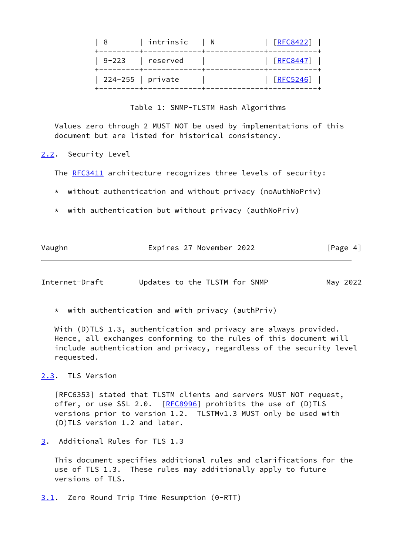| . 8               | $ $ intrinsic $ $ N | [RFC8422] |
|-------------------|---------------------|-----------|
|                   | 9-223   reserved    | [RFC8447] |
| 224-255   private |                     | [RFC5246] |
|                   |                     |           |

Table 1: SNMP-TLSTM Hash Algorithms

 Values zero through 2 MUST NOT be used by implementations of this document but are listed for historical consistency.

<span id="page-4-0"></span>[2.2](#page-4-0). Security Level

The [RFC3411](https://datatracker.ietf.org/doc/pdf/rfc3411) architecture recognizes three levels of security:

\* without authentication and without privacy (noAuthNoPriv)

 $*$  with authentication but without privacy (authNoPriv)

| Vaughn | Expires 27 November 2022 | [Page 4] |
|--------|--------------------------|----------|

<span id="page-4-2"></span>Internet-Draft Updates to the TLSTM for SNMP May 2022

 $*$  with authentication and with privacy (authPriv)

With (D)TLS 1.3, authentication and privacy are always provided. Hence, all exchanges conforming to the rules of this document will include authentication and privacy, regardless of the security level requested.

<span id="page-4-1"></span>[2.3](#page-4-1). TLS Version

 [RFC6353] stated that TLSTM clients and servers MUST NOT request, offer, or use SSL 2.0. [\[RFC8996](https://datatracker.ietf.org/doc/pdf/rfc8996)] prohibits the use of (D)TLS versions prior to version 1.2. TLSTMv1.3 MUST only be used with (D)TLS version 1.2 and later.

<span id="page-4-3"></span>[3](#page-4-3). Additional Rules for TLS 1.3

 This document specifies additional rules and clarifications for the use of TLS 1.3. These rules may additionally apply to future versions of TLS.

<span id="page-4-4"></span>[3.1](#page-4-4). Zero Round Trip Time Resumption (0-RTT)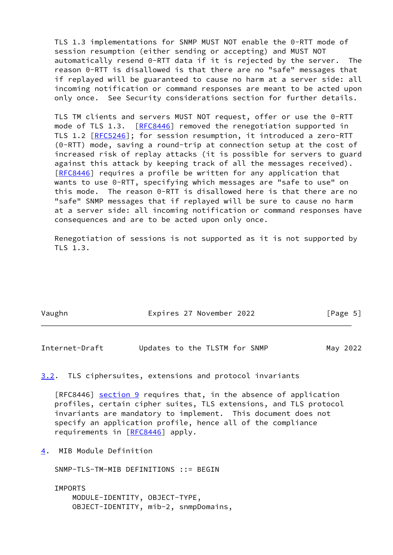TLS 1.3 implementations for SNMP MUST NOT enable the 0-RTT mode of session resumption (either sending or accepting) and MUST NOT automatically resend 0-RTT data if it is rejected by the server. The reason 0-RTT is disallowed is that there are no "safe" messages that if replayed will be guaranteed to cause no harm at a server side: all incoming notification or command responses are meant to be acted upon only once. See Security considerations section for further details.

 TLS TM clients and servers MUST NOT request, offer or use the 0-RTT mode of TLS 1.3. [[RFC8446](https://datatracker.ietf.org/doc/pdf/rfc8446)] removed the renegotiation supported in TLS 1.2 [\[RFC5246](https://datatracker.ietf.org/doc/pdf/rfc5246)]; for session resumption, it introduced a zero-RTT (0-RTT) mode, saving a round-trip at connection setup at the cost of increased risk of replay attacks (it is possible for servers to guard against this attack by keeping track of all the messages received). [\[RFC8446](https://datatracker.ietf.org/doc/pdf/rfc8446)] requires a profile be written for any application that wants to use 0-RTT, specifying which messages are "safe to use" on this mode. The reason 0-RTT is disallowed here is that there are no "safe" SNMP messages that if replayed will be sure to cause no harm at a server side: all incoming notification or command responses have consequences and are to be acted upon only once.

 Renegotiation of sessions is not supported as it is not supported by TLS 1.3.

| Vaughn | Expires 27 November 2022 | [Page 5] |
|--------|--------------------------|----------|

<span id="page-5-1"></span>Internet-Draft Updates to the TLSTM for SNMP May 2022

# <span id="page-5-0"></span>[3.2](#page-5-0). TLS ciphersuites, extensions and protocol invariants

[RFC8446] section 9 requires that, in the absence of application profiles, certain cipher suites, TLS extensions, and TLS protocol invariants are mandatory to implement. This document does not specify an application profile, hence all of the compliance requirements in [\[RFC8446](https://datatracker.ietf.org/doc/pdf/rfc8446)] apply.

<span id="page-5-2"></span>[4](#page-5-2). MIB Module Definition

SNMP-TLS-TM-MIB DEFINITIONS ::= BEGIN

 IMPORTS MODULE-IDENTITY, OBJECT-TYPE, OBJECT-IDENTITY, mib-2, snmpDomains,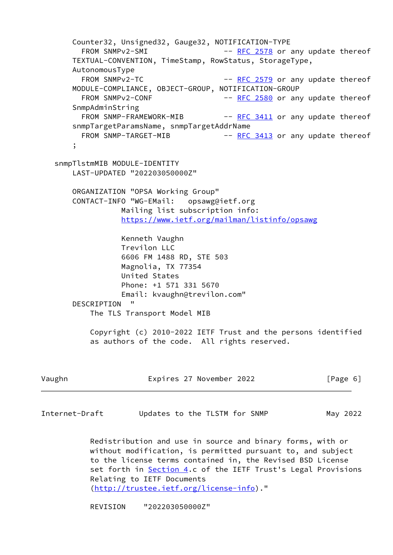Counter32, Unsigned32, Gauge32, NOTIFICATION-TYPE FROM SNMPv2-SMI -- [RFC 2578](https://datatracker.ietf.org/doc/pdf/rfc2578) or any update thereof TEXTUAL-CONVENTION, TimeStamp, RowStatus, StorageType, AutonomousType FROM SNMPv2-TC  $-$  [RFC 2579](https://datatracker.ietf.org/doc/pdf/rfc2579) or any update thereof MODULE-COMPLIANCE, OBJECT-GROUP, NOTIFICATION-GROUP FROM SNMPv2-CONF -- [RFC 2580](https://datatracker.ietf.org/doc/pdf/rfc2580) or any update thereof SnmpAdminString FROM SNMP-FRAMEWORK-MIB -- [RFC 3411](https://datatracker.ietf.org/doc/pdf/rfc3411) or any update thereof snmpTargetParamsName, snmpTargetAddrName FROM SNMP-TARGET-MIB -- [RFC 3413](https://datatracker.ietf.org/doc/pdf/rfc3413) or any update thereof ; snmpTlstmMIB MODULE-IDENTITY LAST-UPDATED "202203050000Z" ORGANIZATION "OPSA Working Group" CONTACT-INFO "WG-EMail: opsawg@ietf.org Mailing list subscription info: <https://www.ietf.org/mailman/listinfo/opsawg> Kenneth Vaughn Trevilon LLC 6606 FM 1488 RD, STE 503 Magnolia, TX 77354 United States Phone: +1 571 331 5670 Email: kvaughn@trevilon.com" DESCRIPTION " The TLS Transport Model MIB Copyright (c) 2010-2022 IETF Trust and the persons identified as authors of the code. All rights reserved.

Vaughn Expires 27 November 2022 [Page 6]

Internet-Draft Updates to the TLSTM for SNMP May 2022

 Redistribution and use in source and binary forms, with or without modification, is permitted pursuant to, and subject to the license terms contained in, the Revised BSD License set forth in [Section 4](#page-5-2).c of the IETF Trust's Legal Provisions Relating to IETF Documents [\(http://trustee.ietf.org/license-info](http://trustee.ietf.org/license-info))."

REVISION "202203050000Z"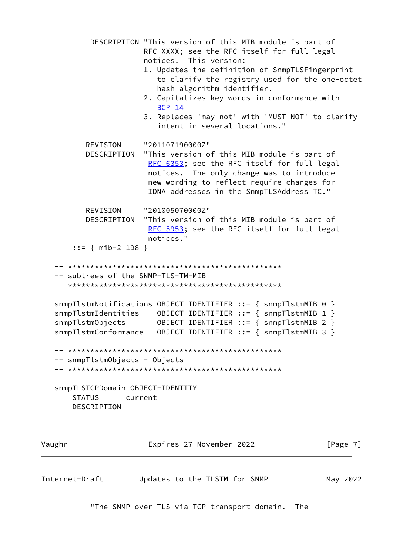```
 DESCRIPTION "This version of this MIB module is part of
                       RFC XXXX; see the RFC itself for full legal
                       notices. This version:
                       1. Updates the definition of SnmpTLSFingerprint
                          to clarify the registry used for the one-octet
                          hash algorithm identifier.
                       2. Capitalizes key words in conformance with
                          BCP 14
                       3. Replaces 'may not' with 'MUST NOT' to clarify
                          intent in several locations."
          REVISION "201107190000Z"
          DESCRIPTION "This version of this MIB module is part of
                       RFC 6353; see the RFC itself for full legal
                        notices. The only change was to introduce
                        new wording to reflect require changes for
                        IDNA addresses in the SnmpTLSAddress TC."
          REVISION "201005070000Z"
           DESCRIPTION "This version of this MIB module is part of
                       RFC 5953; see the RFC itself for full legal
                        notices."
        ::= { mib-2 198 }
    -- ************************************************
    -- subtrees of the SNMP-TLS-TM-MIB
    -- ************************************************
    snmpTlstmNotifications OBJECT IDENTIFIER ::= { snmpTlstmMIB 0 }
 snmpTlstmIdentities OBJECT IDENTIFIER ::= { snmpTlstmMIB 1 }
 snmpTlstmObjects OBJECT IDENTIFIER ::= { snmpTlstmMIB 2 }
    snmpTlstmConformance OBJECT IDENTIFIER ::= { snmpTlstmMIB 3 }
    -- ************************************************
    -- snmpTlstmObjects - Objects
    -- ************************************************
    snmpTLSTCPDomain OBJECT-IDENTITY
       STATUS current
       DESCRIPTION
Vaughn Expires 27 November 2022 [Page 7]
```
"The SNMP over TLS via TCP transport domain. The

Internet-Draft Updates to the TLSTM for SNMP May 2022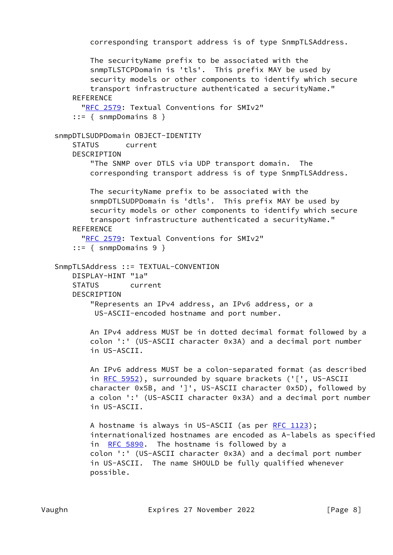```
 corresponding transport address is of type SnmpTLSAddress.
        The securityName prefix to be associated with the
        snmpTLSTCPDomain is 'tls'. This prefix MAY be used by
        security models or other components to identify which secure
        transport infrastructure authenticated a securityName."
   REFERENCE
       "RFC 2579: Textual Conventions for SMIv2"
    ::= { snmpDomains 8 }
 snmpDTLSUDPDomain OBJECT-IDENTITY
    STATUS current
    DESCRIPTION
        "The SNMP over DTLS via UDP transport domain. The
        corresponding transport address is of type SnmpTLSAddress.
        The securityName prefix to be associated with the
        snmpDTLSUDPDomain is 'dtls'. This prefix MAY be used by
        security models or other components to identify which secure
        transport infrastructure authenticated a securityName."
   REFERENCE
       "RFC 2579: Textual Conventions for SMIv2"
     ::= { snmpDomains 9 }
 SnmpTLSAddress ::= TEXTUAL-CONVENTION
    DISPLAY-HINT "1a"
    STATUS current
    DESCRIPTION
        "Represents an IPv4 address, an IPv6 address, or a
         US-ASCII-encoded hostname and port number.
        An IPv4 address MUST be in dotted decimal format followed by a
        colon ':' (US-ASCII character 0x3A) and a decimal port number
        in US-ASCII.
        An IPv6 address MUST be a colon-separated format (as described
       RFC 5952), surrounded by square brackets ('[', US-ASCII
        character 0x5B, and ']', US-ASCII character 0x5D), followed by
        a colon ':' (US-ASCII character 0x3A) and a decimal port number
        in US-ASCII.
        RFC 1123);
        internationalized hostnames are encoded as A-labels as specified
       RFC 5890. The hostname is followed by a
        colon ':' (US-ASCII character 0x3A) and a decimal port number
        in US-ASCII. The name SHOULD be fully qualified whenever
        possible.
```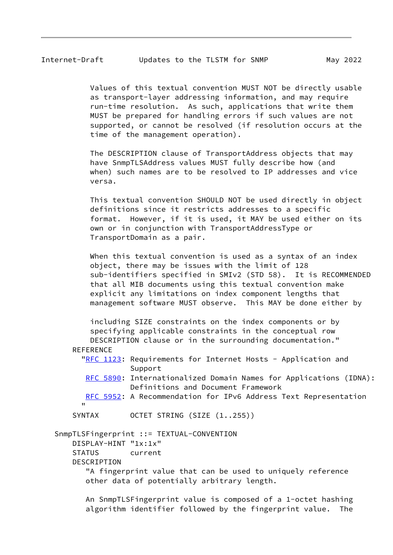Values of this textual convention MUST NOT be directly usable as transport-layer addressing information, and may require run-time resolution. As such, applications that write them MUST be prepared for handling errors if such values are not supported, or cannot be resolved (if resolution occurs at the time of the management operation).

 The DESCRIPTION clause of TransportAddress objects that may have SnmpTLSAddress values MUST fully describe how (and when) such names are to be resolved to IP addresses and vice versa.

 This textual convention SHOULD NOT be used directly in object definitions since it restricts addresses to a specific format. However, if it is used, it MAY be used either on its own or in conjunction with TransportAddressType or TransportDomain as a pair.

When this textual convention is used as a syntax of an index object, there may be issues with the limit of 128 sub-identifiers specified in SMIv2 (STD 58). It is RECOMMENDED that all MIB documents using this textual convention make explicit any limitations on index component lengths that management software MUST observe. This MAY be done either by

 including SIZE constraints on the index components or by specifying applicable constraints in the conceptual row DESCRIPTION clause or in the surrounding documentation." **REFERENCE** 

| "RFC 1123: Requirements for Internet Hosts - Application and |  |  |  |
|--------------------------------------------------------------|--|--|--|
| Support                                                      |  |  |  |

- [RFC 5890:](https://datatracker.ietf.org/doc/pdf/rfc5890) Internationalized Domain Names for Applications (IDNA): Definitions and Document Framework
- [RFC 5952:](https://datatracker.ietf.org/doc/pdf/rfc5952) A Recommendation for IPv6 Address Text Representation "
	- SYNTAX OCTET STRING (SIZE (1..255))

SnmpTLSFingerprint ::= TEXTUAL-CONVENTION

DISPLAY-HINT "1x:1x"

STATUS current

DESCRIPTION

 "A fingerprint value that can be used to uniquely reference other data of potentially arbitrary length.

 An SnmpTLSFingerprint value is composed of a 1-octet hashing algorithm identifier followed by the fingerprint value. The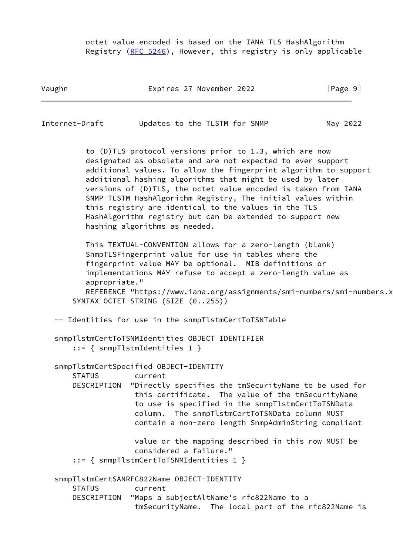octet value encoded is based on the IANA TLS HashAlgorithm Registry [\(RFC 5246](https://datatracker.ietf.org/doc/pdf/rfc5246)), However, this registry is only applicable

Vaughn Expires 27 November 2022 [Page 9]

Internet-Draft Updates to the TLSTM for SNMP May 2022

 to (D)TLS protocol versions prior to 1.3, which are now designated as obsolete and are not expected to ever support additional values. To allow the fingerprint algorithm to support additional hashing algorithms that might be used by later versions of (D)TLS, the octet value encoded is taken from IANA SNMP-TLSTM HashAlgorithm Registry, The initial values within this registry are identical to the values in the TLS HashAlgorithm registry but can be extended to support new hashing algorithms as needed.

 This TEXTUAL-CONVENTION allows for a zero-length (blank) SnmpTLSFingerprint value for use in tables where the fingerprint value MAY be optional. MIB definitions or implementations MAY refuse to accept a zero-length value as appropriate."

REFERENCE "https://www.iana.org/assignments/smi-numbers/smi-numbers.x SYNTAX OCTET STRING (SIZE (0..255))

-- Identities for use in the snmpTlstmCertToTSNTable

 snmpTlstmCertToTSNMIdentities OBJECT IDENTIFIER ::= { snmpTlstmIdentities 1 }

snmpTlstmCertSpecified OBJECT-IDENTITY

STATUS current

 DESCRIPTION "Directly specifies the tmSecurityName to be used for this certificate. The value of the tmSecurityName to use is specified in the snmpTlstmCertToTSNData column. The snmpTlstmCertToTSNData column MUST contain a non-zero length SnmpAdminString compliant

> value or the mapping described in this row MUST be considered a failure."

::= { snmpTlstmCertToTSNMIdentities 1 }

 snmpTlstmCertSANRFC822Name OBJECT-IDENTITY STATUS current DESCRIPTION "Maps a subjectAltName's rfc822Name to a tmSecurityName. The local part of the rfc822Name is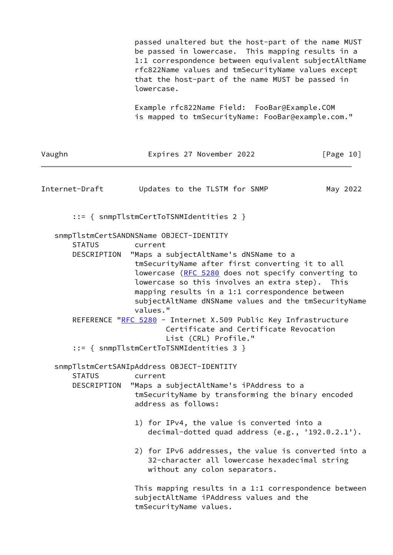|                              | passed unaltered but the host-part of the name MUST<br>be passed in lowercase. This mapping results in a<br>1:1 correspondence between equivalent subjectAltName<br>rfc822Name values and tmSecurityName values except<br>that the host-part of the name MUST be passed in<br>lowercase.                                                                                                                                                                                                                                                                        |           |  |  |  |
|------------------------------|-----------------------------------------------------------------------------------------------------------------------------------------------------------------------------------------------------------------------------------------------------------------------------------------------------------------------------------------------------------------------------------------------------------------------------------------------------------------------------------------------------------------------------------------------------------------|-----------|--|--|--|
|                              | Example rfc822Name Field: FooBar@Example.COM<br>is mapped to tmSecurityName: FooBar@example.com."                                                                                                                                                                                                                                                                                                                                                                                                                                                               |           |  |  |  |
| Vaughn                       | Expires 27 November 2022                                                                                                                                                                                                                                                                                                                                                                                                                                                                                                                                        | [Page 10] |  |  |  |
| Internet-Draft               | Updates to the TLSTM for SNMP                                                                                                                                                                                                                                                                                                                                                                                                                                                                                                                                   | May 2022  |  |  |  |
|                              | $::=$ { snmpTlstmCertToTSNMIdentities 2 }                                                                                                                                                                                                                                                                                                                                                                                                                                                                                                                       |           |  |  |  |
| <b>STATUS</b><br>DESCRIPTION | snmpTlstmCertSANDNSName OBJECT-IDENTITY<br>current<br>"Maps a subjectAltName's dNSName to a<br>tmSecurityName after first converting it to all<br>lowercase (RFC 5280 does not specify converting to<br>lowercase so this involves an extra step). This<br>mapping results in a 1:1 correspondence between<br>subjectAltName dNSName values and the tmSecurityName<br>values."<br>REFERENCE "RFC 5280 - Internet X.509 Public Key Infrastructure<br>Certificate and Certificate Revocation<br>List (CRL) Profile."<br>$::=$ { snmpTlstmCertToTSNMIdentities 3 } |           |  |  |  |
| <b>STATUS</b><br>DESCRIPTION | snmpTlstmCertSANIpAddress OBJECT-IDENTITY<br>current<br>"Maps a subjectAltName's iPAddress to a<br>tmSecurityName by transforming the binary encoded<br>address as follows:                                                                                                                                                                                                                                                                                                                                                                                     |           |  |  |  |
|                              | 1) for IPv4, the value is converted into a<br>decimal-dotted quad address $(e.g., '192.0.2.1').$                                                                                                                                                                                                                                                                                                                                                                                                                                                                |           |  |  |  |
|                              | 2) for IPv6 addresses, the value is converted into a<br>32-character all lowercase hexadecimal string<br>without any colon separators.                                                                                                                                                                                                                                                                                                                                                                                                                          |           |  |  |  |
|                              | This mapping results in a 1:1 correspondence between<br>subjectAltName iPAddress values and the<br>tmSecurityName values.                                                                                                                                                                                                                                                                                                                                                                                                                                       |           |  |  |  |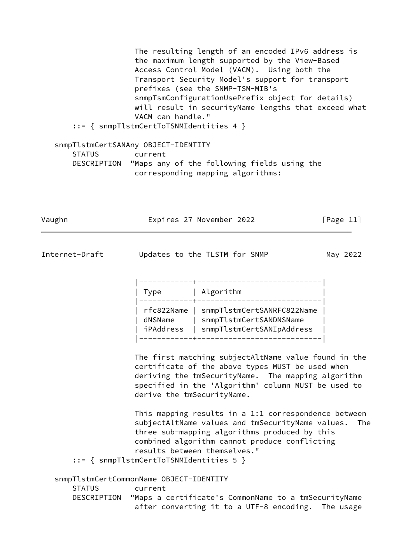The resulting length of an encoded IPv6 address is the maximum length supported by the View-Based Access Control Model (VACM). Using both the Transport Security Model's support for transport prefixes (see the SNMP-TSM-MIB's snmpTsmConfigurationUsePrefix object for details) will result in securityName lengths that exceed what VACM can handle." ::= { snmpTlstmCertToTSNMIdentities 4 }

 snmpTlstmCertSANAny OBJECT-IDENTITY STATUS current DESCRIPTION "Maps any of the following fields using the corresponding mapping algorithms:

Vaughn **Expires 27 November 2022** [Page 11]

Internet-Draft Updates to the TLSTM for SNMP May 2022

| Type |                                    | Algorithm                                                                          |  |
|------|------------------------------------|------------------------------------------------------------------------------------|--|
|      | rfc822Name<br>dNSName<br>iPAddress | snmpTlstmCertSANRFC822Name<br>snmpTlstmCertSANDNSName<br>snmpTlstmCertSANIpAddress |  |

 The first matching subjectAltName value found in the certificate of the above types MUST be used when deriving the tmSecurityName. The mapping algorithm specified in the 'Algorithm' column MUST be used to derive the tmSecurityName.

 This mapping results in a 1:1 correspondence between subjectAltName values and tmSecurityName values. The three sub-mapping algorithms produced by this combined algorithm cannot produce conflicting results between themselves."

::= { snmpTlstmCertToTSNMIdentities 5 }

 snmpTlstmCertCommonName OBJECT-IDENTITY STATUS current DESCRIPTION "Maps a certificate's CommonName to a tmSecurityName after converting it to a UTF-8 encoding. The usage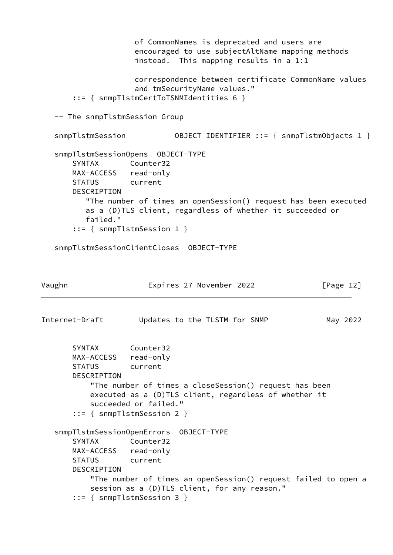```
 of CommonNames is deprecated and users are
                     encouraged to use subjectAltName mapping methods
                     instead. This mapping results in a 1:1
                     correspondence between certificate CommonName values
                     and tmSecurityName values."
       ::= { snmpTlstmCertToTSNMIdentities 6 }
   -- The snmpTlstmSession Group
   snmpTlstmSession OBJECT IDENTIFIER ::= { snmpTlstmObjects 1 }
   snmpTlstmSessionOpens OBJECT-TYPE
       SYNTAX Counter32
       MAX-ACCESS read-only
       STATUS current
       DESCRIPTION
          "The number of times an openSession() request has been executed
          as a (D)TLS client, regardless of whether it succeeded or
          failed."
       ::= { snmpTlstmSession 1 }
   snmpTlstmSessionClientCloses OBJECT-TYPE
Vaughn Expires 27 November 2022 [Page 12]
Internet-Draft Updates to the TLSTM for SNMP May 2022
       SYNTAX Counter32
       MAX-ACCESS read-only
       STATUS current
       DESCRIPTION
           "The number of times a closeSession() request has been
           executed as a (D)TLS client, regardless of whether it
           succeeded or failed."
       ::= { snmpTlstmSession 2 }
   snmpTlstmSessionOpenErrors OBJECT-TYPE
       SYNTAX Counter32
       MAX-ACCESS read-only
       STATUS current
       DESCRIPTION
           "The number of times an openSession() request failed to open a
           session as a (D)TLS client, for any reason."
       ::= { snmpTlstmSession 3 }
```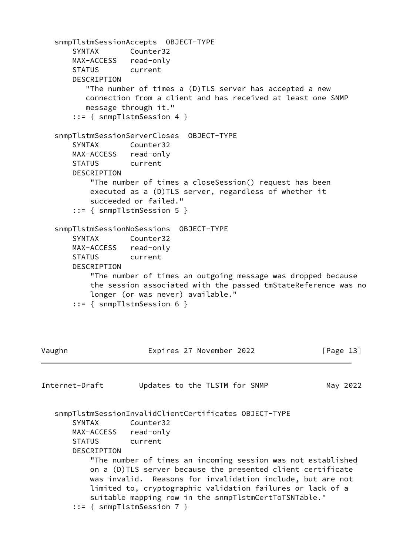```
 snmpTlstmSessionAccepts OBJECT-TYPE
       SYNTAX Counter32
       MAX-ACCESS read-only
       STATUS current
       DESCRIPTION
          "The number of times a (D)TLS server has accepted a new
          connection from a client and has received at least one SNMP
          message through it."
       ::= { snmpTlstmSession 4 }
    snmpTlstmSessionServerCloses OBJECT-TYPE
       SYNTAX Counter32
       MAX-ACCESS read-only
       STATUS current
       DESCRIPTION
           "The number of times a closeSession() request has been
           executed as a (D)TLS server, regardless of whether it
           succeeded or failed."
       ::= { snmpTlstmSession 5 }
    snmpTlstmSessionNoSessions OBJECT-TYPE
       SYNTAX Counter32
       MAX-ACCESS read-only
       STATUS current
       DESCRIPTION
           "The number of times an outgoing message was dropped because
           the session associated with the passed tmStateReference was no
           longer (or was never) available."
       ::= { snmpTlstmSession 6 }
Vaughn Expires 27 November 2022 [Page 13]
Internet-Draft Updates to the TLSTM for SNMP May 2022
    snmpTlstmSessionInvalidClientCertificates OBJECT-TYPE
       SYNTAX Counter32
       MAX-ACCESS read-only
       STATUS current
       DESCRIPTION
           "The number of times an incoming session was not established
           on a (D)TLS server because the presented client certificate
           was invalid. Reasons for invalidation include, but are not
           limited to, cryptographic validation failures or lack of a
           suitable mapping row in the snmpTlstmCertToTSNTable."
       ::= { snmpTlstmSession 7 }
```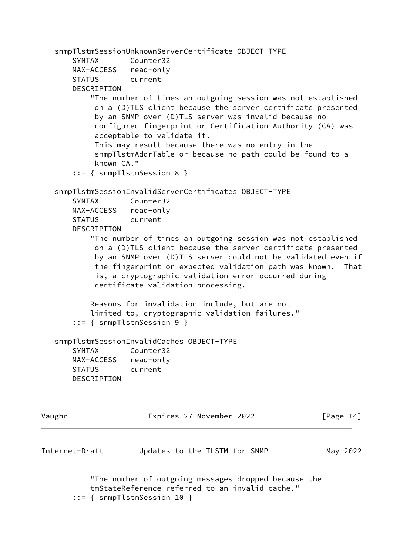```
 snmpTlstmSessionUnknownServerCertificate OBJECT-TYPE
       SYNTAX Counter32
       MAX-ACCESS read-only
       STATUS current
       DESCRIPTION
           "The number of times an outgoing session was not established
            on a (D)TLS client because the server certificate presented
            by an SNMP over (D)TLS server was invalid because no
            configured fingerprint or Certification Authority (CA) was
            acceptable to validate it.
            This may result because there was no entry in the
            snmpTlstmAddrTable or because no path could be found to a
            known CA."
        ::= { snmpTlstmSession 8 }
    snmpTlstmSessionInvalidServerCertificates OBJECT-TYPE
       SYNTAX Counter32
       MAX-ACCESS read-only
       STATUS current
       DESCRIPTION
           "The number of times an outgoing session was not established
            on a (D)TLS client because the server certificate presented
            by an SNMP over (D)TLS server could not be validated even if
            the fingerprint or expected validation path was known. That
            is, a cryptographic validation error occurred during
            certificate validation processing.
           Reasons for invalidation include, but are not
           limited to, cryptographic validation failures."
        ::= { snmpTlstmSession 9 }
    snmpTlstmSessionInvalidCaches OBJECT-TYPE
       SYNTAX Counter32
       MAX-ACCESS read-only
       STATUS current
       DESCRIPTION
Vaughn Expires 27 November 2022 [Page 14]
Internet-Draft Updates to the TLSTM for SNMP May 2022
           "The number of outgoing messages dropped because the
           tmStateReference referred to an invalid cache."
        ::= { snmpTlstmSession 10 }
```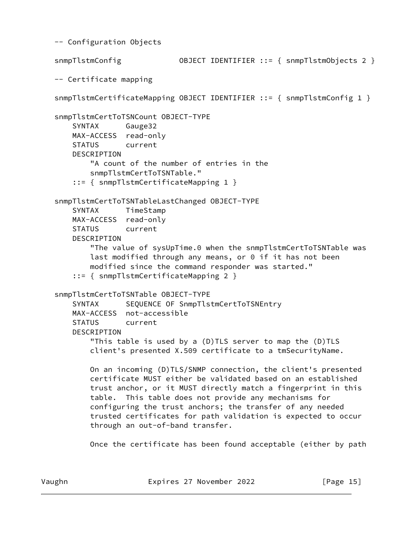-- Configuration Objects snmpTlstmConfig OBJECT IDENTIFIER ::= { snmpTlstmObjects 2 } -- Certificate mapping snmpTlstmCertificateMapping OBJECT IDENTIFIER ::= { snmpTlstmConfig 1 } snmpTlstmCertToTSNCount OBJECT-TYPE SYNTAX Gauge32 MAX-ACCESS read-only STATUS current DESCRIPTION "A count of the number of entries in the snmpTlstmCertToTSNTable." ::= { snmpTlstmCertificateMapping 1 } snmpTlstmCertToTSNTableLastChanged OBJECT-TYPE SYNTAX TimeStamp MAX-ACCESS read-only STATUS current DESCRIPTION "The value of sysUpTime.0 when the snmpTlstmCertToTSNTable was last modified through any means, or 0 if it has not been modified since the command responder was started." ::= { snmpTlstmCertificateMapping 2 } snmpTlstmCertToTSNTable OBJECT-TYPE SYNTAX SEQUENCE OF SnmpTlstmCertToTSNEntry MAX-ACCESS not-accessible STATUS current DESCRIPTION "This table is used by a (D)TLS server to map the (D)TLS client's presented X.509 certificate to a tmSecurityName. On an incoming (D)TLS/SNMP connection, the client's presented certificate MUST either be validated based on an established trust anchor, or it MUST directly match a fingerprint in this table. This table does not provide any mechanisms for configuring the trust anchors; the transfer of any needed trusted certificates for path validation is expected to occur through an out-of-band transfer. Once the certificate has been found acceptable (either by path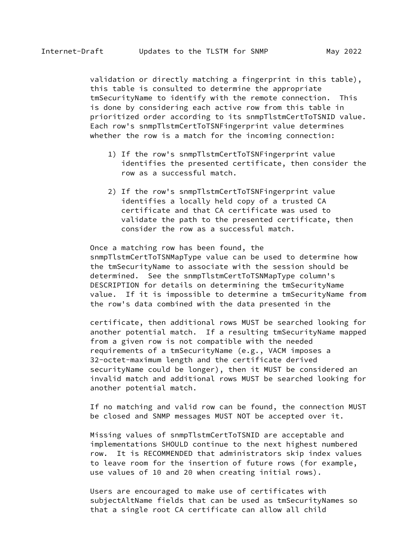validation or directly matching a fingerprint in this table), this table is consulted to determine the appropriate tmSecurityName to identify with the remote connection. This is done by considering each active row from this table in prioritized order according to its snmpTlstmCertToTSNID value. Each row's snmpTlstmCertToTSNFingerprint value determines whether the row is a match for the incoming connection:

- 1) If the row's snmpTlstmCertToTSNFingerprint value identifies the presented certificate, then consider the row as a successful match.
- 2) If the row's snmpTlstmCertToTSNFingerprint value identifies a locally held copy of a trusted CA certificate and that CA certificate was used to validate the path to the presented certificate, then consider the row as a successful match.

 Once a matching row has been found, the snmpTlstmCertToTSNMapType value can be used to determine how the tmSecurityName to associate with the session should be determined. See the snmpTlstmCertToTSNMapType column's DESCRIPTION for details on determining the tmSecurityName value. If it is impossible to determine a tmSecurityName from the row's data combined with the data presented in the

 certificate, then additional rows MUST be searched looking for another potential match. If a resulting tmSecurityName mapped from a given row is not compatible with the needed requirements of a tmSecurityName (e.g., VACM imposes a 32-octet-maximum length and the certificate derived securityName could be longer), then it MUST be considered an invalid match and additional rows MUST be searched looking for another potential match.

 If no matching and valid row can be found, the connection MUST be closed and SNMP messages MUST NOT be accepted over it.

 Missing values of snmpTlstmCertToTSNID are acceptable and implementations SHOULD continue to the next highest numbered row. It is RECOMMENDED that administrators skip index values to leave room for the insertion of future rows (for example, use values of 10 and 20 when creating initial rows).

 Users are encouraged to make use of certificates with subjectAltName fields that can be used as tmSecurityNames so that a single root CA certificate can allow all child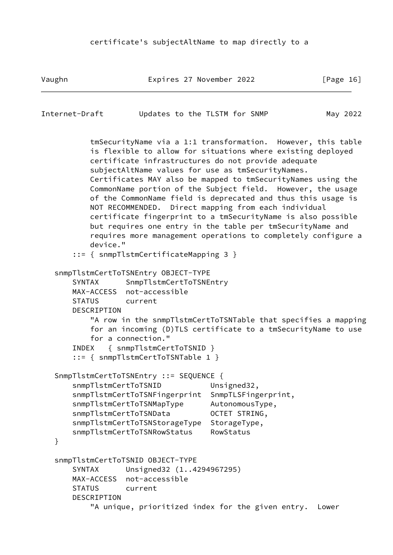Vaughn **Expires 27 November 2022** [Page 16]

```
Internet-Draft Updates to the TLSTM for SNMP May 2022
```
 tmSecurityName via a 1:1 transformation. However, this table is flexible to allow for situations where existing deployed certificate infrastructures do not provide adequate subjectAltName values for use as tmSecurityNames. Certificates MAY also be mapped to tmSecurityNames using the CommonName portion of the Subject field. However, the usage of the CommonName field is deprecated and thus this usage is NOT RECOMMENDED. Direct mapping from each individual certificate fingerprint to a tmSecurityName is also possible but requires one entry in the table per tmSecurityName and requires more management operations to completely configure a device."

```
 ::= { snmpTlstmCertificateMapping 3 }
```

```
 snmpTlstmCertToTSNEntry OBJECT-TYPE
    SYNTAX SnmpTlstmCertToTSNEntry
    MAX-ACCESS not-accessible
    STATUS current
    DESCRIPTION
        "A row in the snmpTlstmCertToTSNTable that specifies a mapping
        for an incoming (D)TLS certificate to a tmSecurityName to use
        for a connection."
    INDEX { snmpTlstmCertToTSNID }
     ::= { snmpTlstmCertToTSNTable 1 }
 SnmpTlstmCertToTSNEntry ::= SEQUENCE {
   snmpTlstmCertToTSNID Unsigned32,
    snmpTlstmCertToTSNFingerprint SnmpTLSFingerprint,
    snmpTlstmCertToTSNMapType AutonomousType,
    snmpTlstmCertToTSNData OCTET STRING,
    snmpTlstmCertToTSNStorageType StorageType,
    snmpTlstmCertToTSNRowStatus RowStatus
 }
 snmpTlstmCertToTSNID OBJECT-TYPE
    SYNTAX Unsigned32 (1..4294967295)
    MAX-ACCESS not-accessible
    STATUS current
    DESCRIPTION
        "A unique, prioritized index for the given entry. Lower
```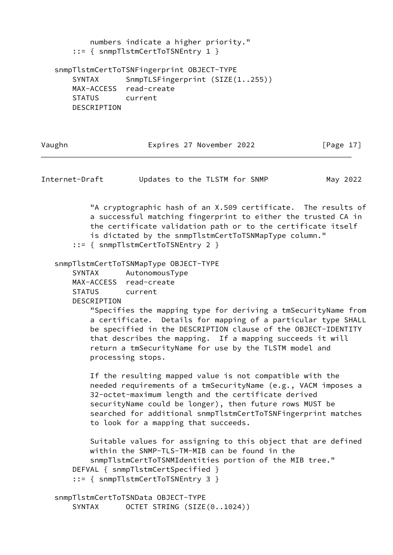numbers indicate a higher priority." ::= { snmpTlstmCertToTSNEntry 1 } snmpTlstmCertToTSNFingerprint OBJECT-TYPE SYNTAX SnmpTLSFingerprint (SIZE(1..255)) MAX-ACCESS read-create STATUS current DESCRIPTION

Vaughn **Expires 27 November 2022** [Page 17]

Internet-Draft Updates to the TLSTM for SNMP May 2022

 "A cryptographic hash of an X.509 certificate. The results of a successful matching fingerprint to either the trusted CA in the certificate validation path or to the certificate itself is dictated by the snmpTlstmCertToTSNMapType column." ::= { snmpTlstmCertToTSNEntry 2 }

snmpTlstmCertToTSNMapType OBJECT-TYPE

SYNTAX AutonomousType

MAX-ACCESS read-create

STATUS current

DESCRIPTION

 "Specifies the mapping type for deriving a tmSecurityName from a certificate. Details for mapping of a particular type SHALL be specified in the DESCRIPTION clause of the OBJECT-IDENTITY that describes the mapping. If a mapping succeeds it will return a tmSecurityName for use by the TLSTM model and processing stops.

 If the resulting mapped value is not compatible with the needed requirements of a tmSecurityName (e.g., VACM imposes a 32-octet-maximum length and the certificate derived securityName could be longer), then future rows MUST be searched for additional snmpTlstmCertToTSNFingerprint matches to look for a mapping that succeeds.

 Suitable values for assigning to this object that are defined within the SNMP-TLS-TM-MIB can be found in the snmpTlstmCertToTSNMIdentities portion of the MIB tree." DEFVAL { snmpTlstmCertSpecified } ::= { snmpTlstmCertToTSNEntry 3 }

 snmpTlstmCertToTSNData OBJECT-TYPE SYNTAX OCTET STRING (SIZE(0..1024))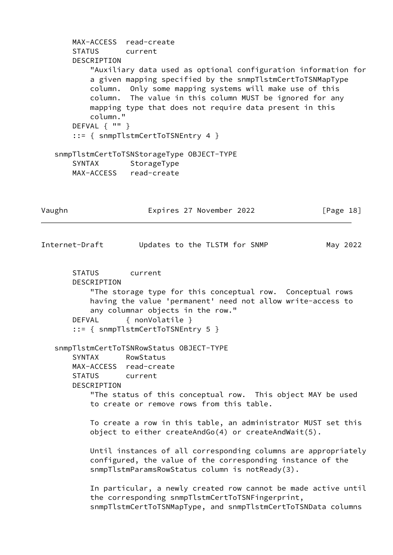```
 MAX-ACCESS read-create
       STATUS current
       DESCRIPTION
           "Auxiliary data used as optional configuration information for
           a given mapping specified by the snmpTlstmCertToTSNMapType
           column. Only some mapping systems will make use of this
           column. The value in this column MUST be ignored for any
           mapping type that does not require data present in this
           column."
       DEFVAL { "" }
        ::= { snmpTlstmCertToTSNEntry 4 }
    snmpTlstmCertToTSNStorageType OBJECT-TYPE
      SYNTAX StorageType
       MAX-ACCESS read-create
Vaughn Expires 27 November 2022 [Page 18]
Internet-Draft Updates to the TLSTM for SNMP May 2022
       STATUS current
       DESCRIPTION
           "The storage type for this conceptual row. Conceptual rows
           having the value 'permanent' need not allow write-access to
           any columnar objects in the row."
       DEFVAL { nonVolatile }
        ::= { snmpTlstmCertToTSNEntry 5 }
    snmpTlstmCertToTSNRowStatus OBJECT-TYPE
       SYNTAX RowStatus
       MAX-ACCESS read-create
       STATUS current
       DESCRIPTION
           "The status of this conceptual row. This object MAY be used
           to create or remove rows from this table.
           To create a row in this table, an administrator MUST set this
           object to either createAndGo(4) or createAndWait(5).
           Until instances of all corresponding columns are appropriately
           configured, the value of the corresponding instance of the
           snmpTlstmParamsRowStatus column is notReady(3).
           In particular, a newly created row cannot be made active until
           the corresponding snmpTlstmCertToTSNFingerprint,
           snmpTlstmCertToTSNMapType, and snmpTlstmCertToTSNData columns
```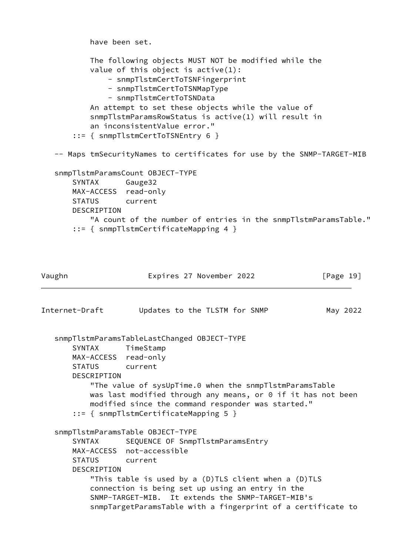```
 have been set.
           The following objects MUST NOT be modified while the
          value of this object is active(1):
               - snmpTlstmCertToTSNFingerprint
               - snmpTlstmCertToTSNMapType
               - snmpTlstmCertToTSNData
           An attempt to set these objects while the value of
           snmpTlstmParamsRowStatus is active(1) will result in
           an inconsistentValue error."
        ::= { snmpTlstmCertToTSNEntry 6 }
    -- Maps tmSecurityNames to certificates for use by the SNMP-TARGET-MIB
    snmpTlstmParamsCount OBJECT-TYPE
       SYNTAX Gauge32
       MAX-ACCESS read-only
       STATUS current
       DESCRIPTION
           "A count of the number of entries in the snmpTlstmParamsTable."
        ::= { snmpTlstmCertificateMapping 4 }
Vaughn Expires 27 November 2022 [Page 19]
```

```
Internet-Draft Updates to the TLSTM for SNMP May 2022
   snmpTlstmParamsTableLastChanged OBJECT-TYPE
       SYNTAX TimeStamp
       MAX-ACCESS read-only
       STATUS current
       DESCRIPTION
           "The value of sysUpTime.0 when the snmpTlstmParamsTable
          was last modified through any means, or 0 if it has not been
           modified since the command responder was started."
       ::= { snmpTlstmCertificateMapping 5 }
   snmpTlstmParamsTable OBJECT-TYPE
       SYNTAX SEQUENCE OF SnmpTlstmParamsEntry
       MAX-ACCESS not-accessible
       STATUS current
       DESCRIPTION
           "This table is used by a (D)TLS client when a (D)TLS
           connection is being set up using an entry in the
           SNMP-TARGET-MIB. It extends the SNMP-TARGET-MIB's
           snmpTargetParamsTable with a fingerprint of a certificate to
```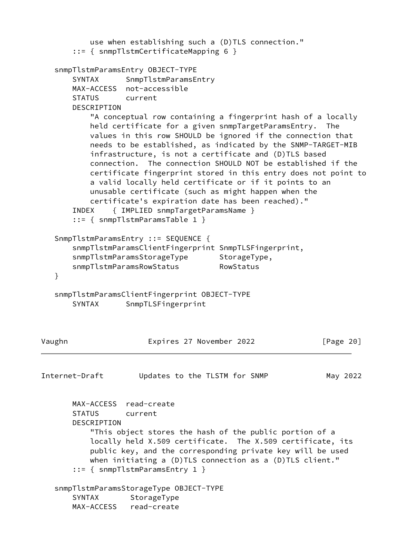```
 use when establishing such a (D)TLS connection."
        ::= { snmpTlstmCertificateMapping 6 }
    snmpTlstmParamsEntry OBJECT-TYPE
       SYNTAX SnmpTlstmParamsEntry
       MAX-ACCESS not-accessible
       STATUS current
       DESCRIPTION
           "A conceptual row containing a fingerprint hash of a locally
           held certificate for a given snmpTargetParamsEntry. The
           values in this row SHOULD be ignored if the connection that
           needs to be established, as indicated by the SNMP-TARGET-MIB
           infrastructure, is not a certificate and (D)TLS based
           connection. The connection SHOULD NOT be established if the
           certificate fingerprint stored in this entry does not point to
           a valid locally held certificate or if it points to an
           unusable certificate (such as might happen when the
           certificate's expiration date has been reached)."
       INDEX { IMPLIED snmpTargetParamsName }
        ::= { snmpTlstmParamsTable 1 }
    SnmpTlstmParamsEntry ::= SEQUENCE {
       snmpTlstmParamsClientFingerprint SnmpTLSFingerprint,
      snmpTlstmParamsStorageType StorageType,
      snmpTlstmParamsRowStatus RowStatus
    }
   snmpTlstmParamsClientFingerprint OBJECT-TYPE
       SYNTAX SnmpTLSFingerprint
Vaughn Expires 27 November 2022 [Page 20]
Internet-Draft Updates to the TLSTM for SNMP May 2022
       MAX-ACCESS read-create
       STATUS current
       DESCRIPTION
           "This object stores the hash of the public portion of a
           locally held X.509 certificate. The X.509 certificate, its
           public key, and the corresponding private key will be used
          when initiating a (D)TLS connection as a (D)TLS client."
        ::= { snmpTlstmParamsEntry 1 }
    snmpTlstmParamsStorageType OBJECT-TYPE
      SYNTAX StorageType
       MAX-ACCESS read-create
```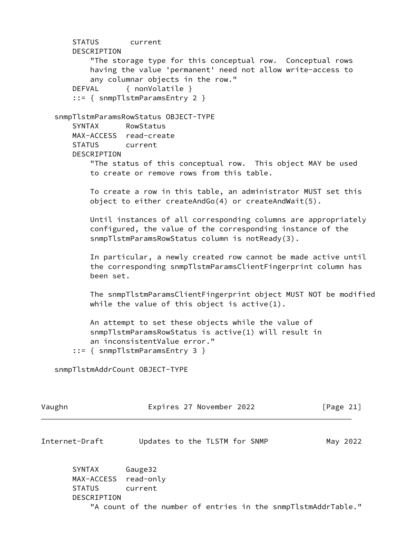STATUS current DESCRIPTION "The storage type for this conceptual row. Conceptual rows having the value 'permanent' need not allow write-access to any columnar objects in the row." DEFVAL { nonVolatile } ::= { snmpTlstmParamsEntry 2 } snmpTlstmParamsRowStatus OBJECT-TYPE SYNTAX RowStatus MAX-ACCESS read-create STATUS current DESCRIPTION "The status of this conceptual row. This object MAY be used to create or remove rows from this table. To create a row in this table, an administrator MUST set this object to either createAndGo(4) or createAndWait(5). Until instances of all corresponding columns are appropriately configured, the value of the corresponding instance of the snmpTlstmParamsRowStatus column is notReady(3). In particular, a newly created row cannot be made active until the corresponding snmpTlstmParamsClientFingerprint column has been set. The snmpTlstmParamsClientFingerprint object MUST NOT be modified while the value of this object is  $active(1)$ . An attempt to set these objects while the value of snmpTlstmParamsRowStatus is active(1) will result in an inconsistentValue error." ::= { snmpTlstmParamsEntry 3 } snmpTlstmAddrCount OBJECT-TYPE Vaughn Expires 27 November 2022 [Page 21] Internet-Draft Updates to the TLSTM for SNMP May 2022 SYNTAX Gauge32 MAX-ACCESS read-only

 DESCRIPTION "A count of the number of entries in the snmpTlstmAddrTable."

STATUS current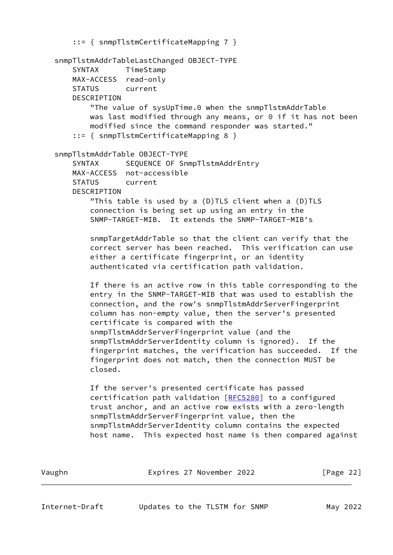::= { snmpTlstmCertificateMapping 7 } snmpTlstmAddrTableLastChanged OBJECT-TYPE SYNTAX TimeStamp MAX-ACCESS read-only STATUS current DESCRIPTION "The value of sysUpTime.0 when the snmpTlstmAddrTable was last modified through any means, or 0 if it has not been modified since the command responder was started." ::= { snmpTlstmCertificateMapping 8 } snmpTlstmAddrTable OBJECT-TYPE SYNTAX SEQUENCE OF SnmpTlstmAddrEntry MAX-ACCESS not-accessible STATUS current DESCRIPTION "This table is used by a (D)TLS client when a (D)TLS connection is being set up using an entry in the SNMP-TARGET-MIB. It extends the SNMP-TARGET-MIB's snmpTargetAddrTable so that the client can verify that the correct server has been reached. This verification can use either a certificate fingerprint, or an identity authenticated via certification path validation. If there is an active row in this table corresponding to the entry in the SNMP-TARGET-MIB that was used to establish the connection, and the row's snmpTlstmAddrServerFingerprint column has non-empty value, then the server's presented certificate is compared with the snmpTlstmAddrServerFingerprint value (and the snmpTlstmAddrServerIdentity column is ignored). If the fingerprint matches, the verification has succeeded. If the fingerprint does not match, then the connection MUST be closed. If the server's presented certificate has passed certification path validation [[RFC5280](https://datatracker.ietf.org/doc/pdf/rfc5280)] to a configured trust anchor, and an active row exists with a zero-length snmpTlstmAddrServerFingerprint value, then the snmpTlstmAddrServerIdentity column contains the expected host name. This expected host name is then compared against

Vaughn Expires 27 November 2022 [Page 22]

Internet-Draft Updates to the TLSTM for SNMP May 2022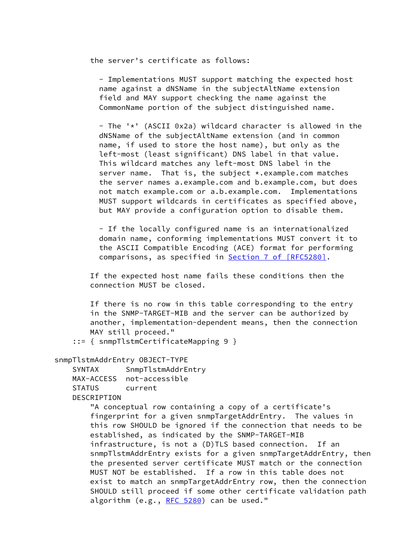the server's certificate as follows:

 - Implementations MUST support matching the expected host name against a dNSName in the subjectAltName extension field and MAY support checking the name against the CommonName portion of the subject distinguished name.

 - The '\*' (ASCII 0x2a) wildcard character is allowed in the dNSName of the subjectAltName extension (and in common name, if used to store the host name), but only as the left-most (least significant) DNS label in that value. This wildcard matches any left-most DNS label in the server name. That is, the subject \*.example.com matches the server names a.example.com and b.example.com, but does not match example.com or a.b.example.com. Implementations MUST support wildcards in certificates as specified above, but MAY provide a configuration option to disable them.

 - If the locally configured name is an internationalized domain name, conforming implementations MUST convert it to the ASCII Compatible Encoding (ACE) format for performing comparisons, as specified in **Section [7 of \[RFC5280\]](https://datatracker.ietf.org/doc/pdf/rfc5280#section-7)**.

 If the expected host name fails these conditions then the connection MUST be closed.

 If there is no row in this table corresponding to the entry in the SNMP-TARGET-MIB and the server can be authorized by another, implementation-dependent means, then the connection MAY still proceed."

::= { snmpTlstmCertificateMapping 9 }

snmpTlstmAddrEntry OBJECT-TYPE

 SYNTAX SnmpTlstmAddrEntry MAX-ACCESS not-accessible STATUS current DESCRIPTION

> "A conceptual row containing a copy of a certificate's fingerprint for a given snmpTargetAddrEntry. The values in this row SHOULD be ignored if the connection that needs to be established, as indicated by the SNMP-TARGET-MIB infrastructure, is not a (D)TLS based connection. If an snmpTlstmAddrEntry exists for a given snmpTargetAddrEntry, then the presented server certificate MUST match or the connection MUST NOT be established. If a row in this table does not exist to match an snmpTargetAddrEntry row, then the connection SHOULD still proceed if some other certificate validation path algorithm  $(e.g., RFC 5280)$  $(e.g., RFC 5280)$  $(e.g., RFC 5280)$  can be used."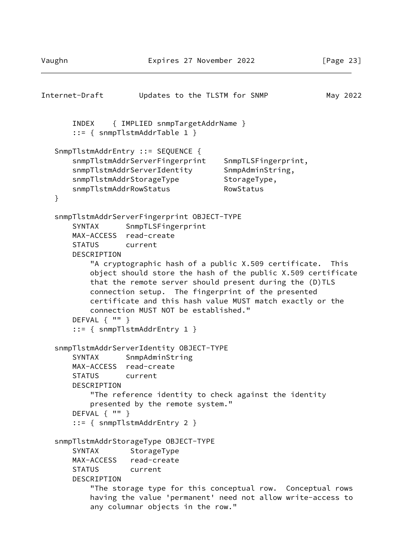```
Internet-Draft Updates to the TLSTM for SNMP May 2022
       INDEX { IMPLIED snmpTargetAddrName }
       ::= { snmpTlstmAddrTable 1 }
   SnmpTlstmAddrEntry ::= SEQUENCE {
       snmpTlstmAddrServerFingerprint SnmpTLSFingerprint,
      snmpTlstmAddrServerIdentity SnmpAdminString,
      snmpTlstmAddrStorageType StorageType,
      snmpTlstmAddrRowStatus RowStatus
   }
   snmpTlstmAddrServerFingerprint OBJECT-TYPE
      SYNTAX SnmpTLSFingerprint
       MAX-ACCESS read-create
       STATUS current
       DESCRIPTION
           "A cryptographic hash of a public X.509 certificate. This
           object should store the hash of the public X.509 certificate
           that the remote server should present during the (D)TLS
           connection setup. The fingerprint of the presented
           certificate and this hash value MUST match exactly or the
           connection MUST NOT be established."
       DEFVAL { "" }
       ::= { snmpTlstmAddrEntry 1 }
   snmpTlstmAddrServerIdentity OBJECT-TYPE
       SYNTAX SnmpAdminString
       MAX-ACCESS read-create
       STATUS current
       DESCRIPTION
           "The reference identity to check against the identity
           presented by the remote system."
       DEFVAL { "" }
       ::= { snmpTlstmAddrEntry 2 }
   snmpTlstmAddrStorageType OBJECT-TYPE
      SYNTAX StorageType
       MAX-ACCESS read-create
       STATUS current
       DESCRIPTION
           "The storage type for this conceptual row. Conceptual rows
           having the value 'permanent' need not allow write-access to
           any columnar objects in the row."
```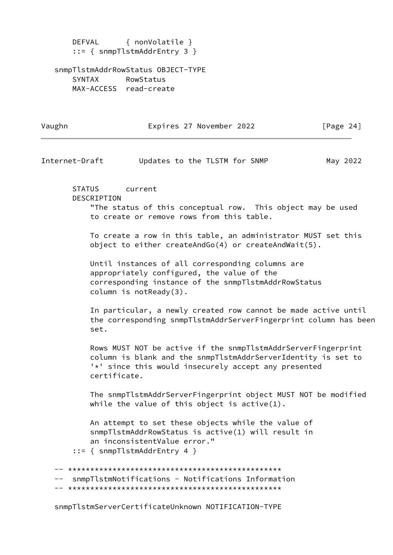DEFVAL { nonVolatile } ::= { snmpTlstmAddrEntry 3 }

 snmpTlstmAddrRowStatus OBJECT-TYPE SYNTAX RowStatus MAX-ACCESS read-create

Vaughn **Expires 27 November 2022** [Page 24]

Internet-Draft Updates to the TLSTM for SNMP May 2022

 STATUS current DESCRIPTION "The status of this conceptual row. This object may be used to create or remove rows from this table.

 To create a row in this table, an administrator MUST set this object to either createAndGo(4) or createAndWait(5).

 Until instances of all corresponding columns are appropriately configured, the value of the corresponding instance of the snmpTlstmAddrRowStatus column is notReady(3).

 In particular, a newly created row cannot be made active until the corresponding snmpTlstmAddrServerFingerprint column has been set.

 Rows MUST NOT be active if the snmpTlstmAddrServerFingerprint column is blank and the snmpTlstmAddrServerIdentity is set to '\*' since this would insecurely accept any presented certificate.

 The snmpTlstmAddrServerFingerprint object MUST NOT be modified while the value of this object is  $active(1)$ .

 An attempt to set these objects while the value of snmpTlstmAddrRowStatus is active(1) will result in an inconsistentValue error."

::= { snmpTlstmAddrEntry 4 }

 -- \*\*\*\*\*\*\*\*\*\*\*\*\*\*\*\*\*\*\*\*\*\*\*\*\*\*\*\*\*\*\*\*\*\*\*\*\*\*\*\*\*\*\*\*\*\*\*\* snmpTlstmNotifications - Notifications Information -- \*\*\*\*\*\*\*\*\*\*\*\*\*\*\*\*\*\*\*\*\*\*\*\*\*\*\*\*\*\*\*\*\*\*\*\*\*\*\*\*\*\*\*\*\*\*\*\*

snmpTlstmServerCertificateUnknown NOTIFICATION-TYPE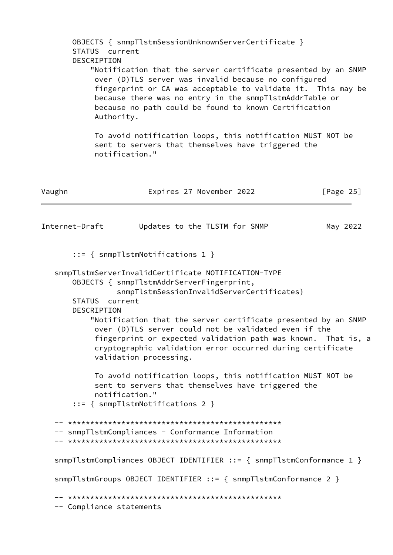OBJECTS { snmpTlstmSessionUnknownServerCertificate } STATUS current DESCRIPTION "Notification that the server certificate presented by an SNMP over (D)TLS server was invalid because no configured fingerprint or CA was acceptable to validate it. This may be because there was no entry in the snmpTlstmAddrTable or because no path could be found to known Certification Authority. To avoid notification loops, this notification MUST NOT be sent to servers that themselves have triggered the notification." Vaughn Expires 27 November 2022 [Page 25] Internet-Draft Updates to the TLSTM for SNMP May 2022 ::= { snmpTlstmNotifications 1 } snmpTlstmServerInvalidCertificate NOTIFICATION-TYPE OBJECTS { snmpTlstmAddrServerFingerprint, snmpTlstmSessionInvalidServerCertificates} STATUS current DESCRIPTION "Notification that the server certificate presented by an SNMP over (D)TLS server could not be validated even if the fingerprint or expected validation path was known. That is, a cryptographic validation error occurred during certificate validation processing. To avoid notification loops, this notification MUST NOT be sent to servers that themselves have triggered the notification." ::= { snmpTlstmNotifications 2 } -- \*\*\*\*\*\*\*\*\*\*\*\*\*\*\*\*\*\*\*\*\*\*\*\*\*\*\*\*\*\*\*\*\*\*\*\*\*\*\*\*\*\*\*\*\*\*\*\* -- snmpTlstmCompliances - Conformance Information -- \*\*\*\*\*\*\*\*\*\*\*\*\*\*\*\*\*\*\*\*\*\*\*\*\*\*\*\*\*\*\*\*\*\*\*\*\*\*\*\*\*\*\*\*\*\*\*\* snmpTlstmCompliances OBJECT IDENTIFIER ::= { snmpTlstmConformance 1 } snmpTlstmGroups OBJECT IDENTIFIER ::= { snmpTlstmConformance 2 } -- \*\*\*\*\*\*\*\*\*\*\*\*\*\*\*\*\*\*\*\*\*\*\*\*\*\*\*\*\*\*\*\*\*\*\*\*\*\*\*\*\*\*\*\*\*\*\*\* -- Compliance statements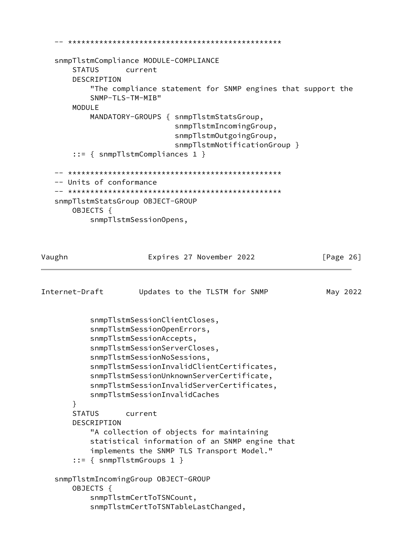```
 -- ************************************************
    snmpTlstmCompliance MODULE-COMPLIANCE
        STATUS current
        DESCRIPTION
            "The compliance statement for SNMP engines that support the
            SNMP-TLS-TM-MIB"
        MODULE
            MANDATORY-GROUPS { snmpTlstmStatsGroup,
                               snmpTlstmIncomingGroup,
                               snmpTlstmOutgoingGroup,
                               snmpTlstmNotificationGroup }
        ::= { snmpTlstmCompliances 1 }
    -- ************************************************
    -- Units of conformance
    -- ************************************************
    snmpTlstmStatsGroup OBJECT-GROUP
        OBJECTS {
            snmpTlstmSessionOpens,
Vaughn Expires 27 November 2022 [Page 26]
Internet-Draft Updates to the TLSTM for SNMP May 2022
            snmpTlstmSessionClientCloses,
            snmpTlstmSessionOpenErrors,
            snmpTlstmSessionAccepts,
            snmpTlstmSessionServerCloses,
            snmpTlstmSessionNoSessions,
            snmpTlstmSessionInvalidClientCertificates,
            snmpTlstmSessionUnknownServerCertificate,
            snmpTlstmSessionInvalidServerCertificates,
            snmpTlstmSessionInvalidCaches
        }
        STATUS current
        DESCRIPTION
            "A collection of objects for maintaining
            statistical information of an SNMP engine that
            implements the SNMP TLS Transport Model."
        ::= { snmpTlstmGroups 1 }
    snmpTlstmIncomingGroup OBJECT-GROUP
        OBJECTS {
            snmpTlstmCertToTSNCount,
            snmpTlstmCertToTSNTableLastChanged,
```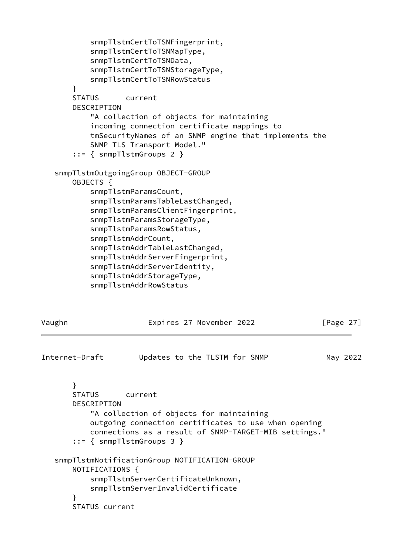```
 snmpTlstmCertToTSNFingerprint,
            snmpTlstmCertToTSNMapType,
            snmpTlstmCertToTSNData,
            snmpTlstmCertToTSNStorageType,
            snmpTlstmCertToTSNRowStatus
        }
        STATUS current
        DESCRIPTION
            "A collection of objects for maintaining
            incoming connection certificate mappings to
            tmSecurityNames of an SNMP engine that implements the
            SNMP TLS Transport Model."
        ::= { snmpTlstmGroups 2 }
    snmpTlstmOutgoingGroup OBJECT-GROUP
        OBJECTS {
            snmpTlstmParamsCount,
            snmpTlstmParamsTableLastChanged,
            snmpTlstmParamsClientFingerprint,
            snmpTlstmParamsStorageType,
            snmpTlstmParamsRowStatus,
            snmpTlstmAddrCount,
            snmpTlstmAddrTableLastChanged,
            snmpTlstmAddrServerFingerprint,
            snmpTlstmAddrServerIdentity,
            snmpTlstmAddrStorageType,
            snmpTlstmAddrRowStatus
Vaughn Expires 27 November 2022 [Page 27]
Internet-Draft Updates to the TLSTM for SNMP May 2022
        }
        STATUS current
        DESCRIPTION
            "A collection of objects for maintaining
            outgoing connection certificates to use when opening
            connections as a result of SNMP-TARGET-MIB settings."
        ::= { snmpTlstmGroups 3 }
    snmpTlstmNotificationGroup NOTIFICATION-GROUP
        NOTIFICATIONS {
            snmpTlstmServerCertificateUnknown,
            snmpTlstmServerInvalidCertificate
        }
        STATUS current
```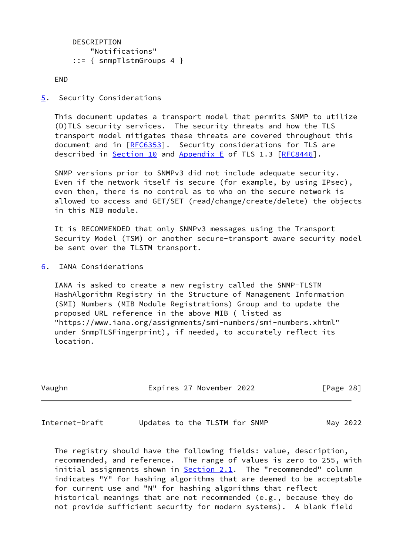```
 DESCRIPTION
     "Notifications"
 ::= { snmpTlstmGroups 4 }
```
END

<span id="page-31-0"></span>[5](#page-31-0). Security Considerations

 This document updates a transport model that permits SNMP to utilize (D)TLS security services. The security threats and how the TLS transport model mitigates these threats are covered throughout this document and in [\[RFC6353](https://datatracker.ietf.org/doc/pdf/rfc6353)]. Security considerations for TLS are described in Section 10 and Appendix E of TLS 1.3 [[RFC8446](https://datatracker.ietf.org/doc/pdf/rfc8446)].

 SNMP versions prior to SNMPv3 did not include adequate security. Even if the network itself is secure (for example, by using IPsec), even then, there is no control as to who on the secure network is allowed to access and GET/SET (read/change/create/delete) the objects in this MIB module.

 It is RECOMMENDED that only SNMPv3 messages using the Transport Security Model (TSM) or another secure-transport aware security model be sent over the TLSTM transport.

<span id="page-31-1"></span>[6](#page-31-1). IANA Considerations

 IANA is asked to create a new registry called the SNMP-TLSTM HashAlgorithm Registry in the Structure of Management Information (SMI) Numbers (MIB Module Registrations) Group and to update the proposed URL reference in the above MIB ( listed as "https://www.iana.org/assignments/smi-numbers/smi-numbers.xhtml" under SnmpTLSFingerprint), if needed, to accurately reflect its location.

Vaughn Expires 27 November 2022 [Page 28]

<span id="page-31-2"></span>Internet-Draft Updates to the TLSTM for SNMP May 2022

 The registry should have the following fields: value, description, recommended, and reference. The range of values is zero to 255, with initial assignments shown in **Section 2.1</u>.** The "recommended" column indicates "Y" for hashing algorithms that are deemed to be acceptable for current use and "N" for hashing algorithms that reflect historical meanings that are not recommended (e.g., because they do not provide sufficient security for modern systems). A blank field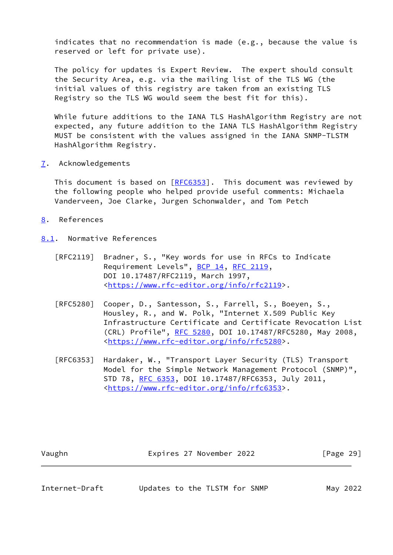indicates that no recommendation is made (e.g., because the value is reserved or left for private use).

 The policy for updates is Expert Review. The expert should consult the Security Area, e.g. via the mailing list of the TLS WG (the initial values of this registry are taken from an existing TLS Registry so the TLS WG would seem the best fit for this).

 While future additions to the IANA TLS HashAlgorithm Registry are not expected, any future addition to the IANA TLS HashAlgorithm Registry MUST be consistent with the values assigned in the IANA SNMP-TLSTM HashAlgorithm Registry.

<span id="page-32-0"></span>[7](#page-32-0). Acknowledgements

 This document is based on [[RFC6353](https://datatracker.ietf.org/doc/pdf/rfc6353)]. This document was reviewed by the following people who helped provide useful comments: Michaela Vanderveen, Joe Clarke, Jurgen Schonwalder, and Tom Petch

- <span id="page-32-1"></span>[8](#page-32-1). References
- <span id="page-32-2"></span>[8.1](#page-32-2). Normative References
	- [RFC2119] Bradner, S., "Key words for use in RFCs to Indicate Requirement Levels", [BCP 14](https://datatracker.ietf.org/doc/pdf/bcp14), [RFC 2119](https://datatracker.ietf.org/doc/pdf/rfc2119), DOI 10.17487/RFC2119, March 1997, <[https://www.rfc-editor.org/info/rfc2119>](https://www.rfc-editor.org/info/rfc2119).
	- [RFC5280] Cooper, D., Santesson, S., Farrell, S., Boeyen, S., Housley, R., and W. Polk, "Internet X.509 Public Key Infrastructure Certificate and Certificate Revocation List (CRL) Profile", [RFC 5280,](https://datatracker.ietf.org/doc/pdf/rfc5280) DOI 10.17487/RFC5280, May 2008, <[https://www.rfc-editor.org/info/rfc5280>](https://www.rfc-editor.org/info/rfc5280).
	- [RFC6353] Hardaker, W., "Transport Layer Security (TLS) Transport Model for the Simple Network Management Protocol (SNMP)", STD 78, [RFC 6353,](https://datatracker.ietf.org/doc/pdf/rfc6353) DOI 10.17487/RFC6353, July 2011, <[https://www.rfc-editor.org/info/rfc6353>](https://www.rfc-editor.org/info/rfc6353).

| Expires 27 November 2022<br>Vaughn | [Page 29] |
|------------------------------------|-----------|
|------------------------------------|-----------|

Internet-Draft Updates to the TLSTM for SNMP May 2022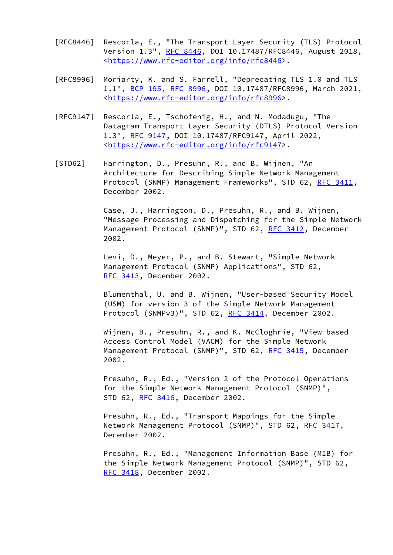- [RFC8446] Rescorla, E., "The Transport Layer Security (TLS) Protocol Version 1.3", [RFC 8446](https://datatracker.ietf.org/doc/pdf/rfc8446), DOI 10.17487/RFC8446, August 2018, <[https://www.rfc-editor.org/info/rfc8446>](https://www.rfc-editor.org/info/rfc8446).
- [RFC8996] Moriarty, K. and S. Farrell, "Deprecating TLS 1.0 and TLS 1.1", [BCP 195](https://datatracker.ietf.org/doc/pdf/bcp195), [RFC 8996](https://datatracker.ietf.org/doc/pdf/rfc8996), DOI 10.17487/RFC8996, March 2021, <[https://www.rfc-editor.org/info/rfc8996>](https://www.rfc-editor.org/info/rfc8996).
- [RFC9147] Rescorla, E., Tschofenig, H., and N. Modadugu, "The Datagram Transport Layer Security (DTLS) Protocol Version 1.3", [RFC 9147](https://datatracker.ietf.org/doc/pdf/rfc9147), DOI 10.17487/RFC9147, April 2022, <[https://www.rfc-editor.org/info/rfc9147>](https://www.rfc-editor.org/info/rfc9147).
- <span id="page-33-0"></span> [STD62] Harrington, D., Presuhn, R., and B. Wijnen, "An Architecture for Describing Simple Network Management Protocol (SNMP) Management Frameworks", STD 62, [RFC 3411,](https://datatracker.ietf.org/doc/pdf/rfc3411) December 2002.

 Case, J., Harrington, D., Presuhn, R., and B. Wijnen, "Message Processing and Dispatching for the Simple Network Management Protocol (SNMP)", STD 62, [RFC 3412](https://datatracker.ietf.org/doc/pdf/rfc3412), December 2002.

 Levi, D., Meyer, P., and B. Stewart, "Simple Network Management Protocol (SNMP) Applications", STD 62, [RFC 3413,](https://datatracker.ietf.org/doc/pdf/rfc3413) December 2002.

 Blumenthal, U. and B. Wijnen, "User-based Security Model (USM) for version 3 of the Simple Network Management Protocol (SNMPv3)", STD 62, [RFC 3414,](https://datatracker.ietf.org/doc/pdf/rfc3414) December 2002.

 Wijnen, B., Presuhn, R., and K. McCloghrie, "View-based Access Control Model (VACM) for the Simple Network Management Protocol (SNMP)", STD 62, [RFC 3415](https://datatracker.ietf.org/doc/pdf/rfc3415), December 2002.

 Presuhn, R., Ed., "Version 2 of the Protocol Operations for the Simple Network Management Protocol (SNMP)", STD 62, [RFC 3416,](https://datatracker.ietf.org/doc/pdf/rfc3416) December 2002.

 Presuhn, R., Ed., "Transport Mappings for the Simple Network Management Protocol (SNMP)", STD 62, [RFC 3417](https://datatracker.ietf.org/doc/pdf/rfc3417), December 2002.

 Presuhn, R., Ed., "Management Information Base (MIB) for the Simple Network Management Protocol (SNMP)", STD 62, [RFC 3418,](https://datatracker.ietf.org/doc/pdf/rfc3418) December 2002.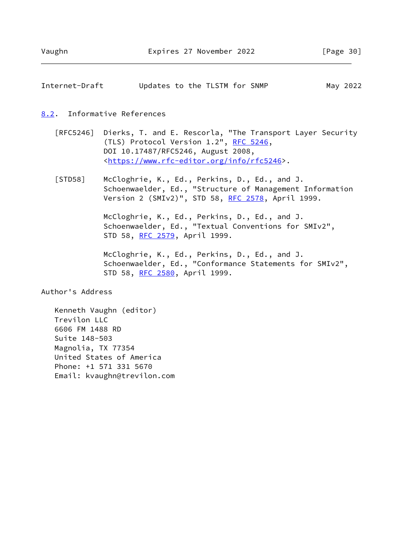<span id="page-34-1"></span>

|  |  |                               | May 2022 |
|--|--|-------------------------------|----------|
|  |  | Updates to the TLSTM for SNMP |          |

#### <span id="page-34-0"></span>[8.2](#page-34-0). Informative References

- [RFC5246] Dierks, T. and E. Rescorla, "The Transport Layer Security (TLS) Protocol Version 1.2", [RFC 5246](https://datatracker.ietf.org/doc/pdf/rfc5246), DOI 10.17487/RFC5246, August 2008, <[https://www.rfc-editor.org/info/rfc5246>](https://www.rfc-editor.org/info/rfc5246).
- [STD58] McCloghrie, K., Ed., Perkins, D., Ed., and J. Schoenwaelder, Ed., "Structure of Management Information Version 2 (SMIv2)", STD 58, [RFC 2578,](https://datatracker.ietf.org/doc/pdf/rfc2578) April 1999.

 McCloghrie, K., Ed., Perkins, D., Ed., and J. Schoenwaelder, Ed., "Textual Conventions for SMIv2", STD 58, [RFC 2579,](https://datatracker.ietf.org/doc/pdf/rfc2579) April 1999.

 McCloghrie, K., Ed., Perkins, D., Ed., and J. Schoenwaelder, Ed., "Conformance Statements for SMIv2", STD 58, [RFC 2580,](https://datatracker.ietf.org/doc/pdf/rfc2580) April 1999.

Author's Address

 Kenneth Vaughn (editor) Trevilon LLC 6606 FM 1488 RD Suite 148-503 Magnolia, TX 77354 United States of America Phone: +1 571 331 5670 Email: kvaughn@trevilon.com